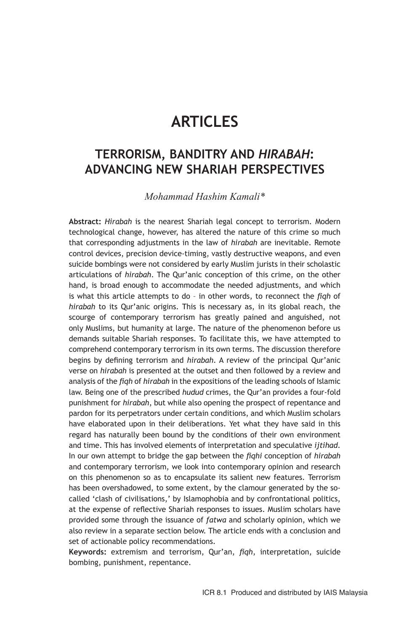# **ARTICLES**

## **TERRORISM, BANDITRY AND** *HIRABAH***: ADVANCING NEW SHARIAH PERSPECTIVES**

*Mohammad Hashim Kamali\**

**Abstract:** *Hirabah* is the nearest Shariah legal concept to terrorism. Modern technological change, however, has altered the nature of this crime so much that corresponding adjustments in the law of *hirabah* are inevitable. Remote control devices, precision device-timing, vastly destructive weapons, and even suicide bombings were not considered by early Muslim jurists in their scholastic articulations of *hirabah*. The Qur'anic conception of this crime, on the other hand, is broad enough to accommodate the needed adjustments, and which is what this article attempts to do – in other words, to reconnect the *fiqh* of *hirabah* to its Qur'anic origins. This is necessary as, in its global reach, the scourge of contemporary terrorism has greatly pained and anguished, not only Muslims, but humanity at large. The nature of the phenomenon before us demands suitable Shariah responses. To facilitate this, we have attempted to comprehend contemporary terrorism in its own terms. The discussion therefore begins by defining terrorism and *hirabah*. A review of the principal Qur'anic verse on *hirabah* is presented at the outset and then followed by a review and analysis of the *fiqh* of *hirabah* in the expositions of the leading schools of Islamic law. Being one of the prescribed *hudud* crimes, the Qur'an provides a four-fold punishment for *hirabah*, but while also opening the prospect of repentance and pardon for its perpetrators under certain conditions, and which Muslim scholars have elaborated upon in their deliberations. Yet what they have said in this regard has naturally been bound by the conditions of their own environment and time. This has involved elements of interpretation and speculative *ijtihad*. In our own attempt to bridge the gap between the *fiqhi* conception of *hirabah* and contemporary terrorism, we look into contemporary opinion and research on this phenomenon so as to encapsulate its salient new features. Terrorism has been overshadowed, to some extent, by the clamour generated by the socalled 'clash of civilisations,' by Islamophobia and by confrontational politics, at the expense of reflective Shariah responses to issues. Muslim scholars have provided some through the issuance of *fatwa* and scholarly opinion, which we also review in a separate section below. The article ends with a conclusion and set of actionable policy recommendations.

**Keywords:** extremism and terrorism, Qur'an, *fiqh*, interpretation, suicide bombing, punishment, repentance.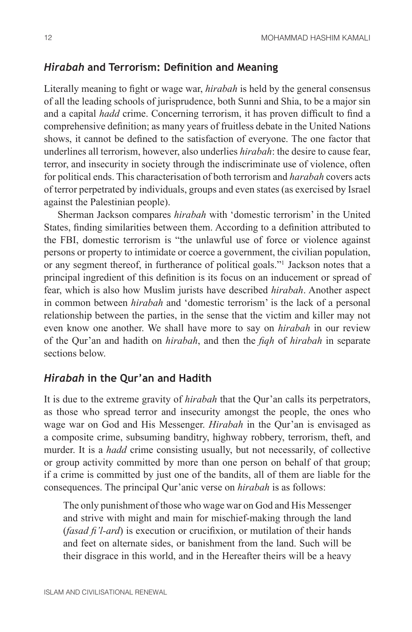#### *Hirabah* **and Terrorism: Definition and Meaning**

Literally meaning to fight or wage war, *hirabah* is held by the general consensus of all the leading schools of jurisprudence, both Sunni and Shia, to be a major sin and a capital *hadd* crime. Concerning terrorism, it has proven difficult to find a comprehensive definition; as many years of fruitless debate in the United Nations shows, it cannot be defined to the satisfaction of everyone. The one factor that underlines all terrorism, however, also underlies *hirabah*: the desire to cause fear, terror, and insecurity in society through the indiscriminate use of violence, often for political ends. This characterisation of both terrorism and *harabah* covers acts of terror perpetrated by individuals, groups and even states (as exercised by Israel against the Palestinian people).

Sherman Jackson compares *hirabah* with 'domestic terrorism' in the United States, finding similarities between them. According to a definition attributed to the FBI, domestic terrorism is "the unlawful use of force or violence against persons or property to intimidate or coerce a government, the civilian population, or any segment thereof, in furtherance of political goals."1 Jackson notes that a principal ingredient of this definition is its focus on an inducement or spread of fear, which is also how Muslim jurists have described *hirabah*. Another aspect in common between *hirabah* and 'domestic terrorism' is the lack of a personal relationship between the parties, in the sense that the victim and killer may not even know one another. We shall have more to say on *hirabah* in our review of the Qur'an and hadith on *hirabah*, and then the *fiqh* of *hirabah* in separate sections below.

#### *Hirabah* **in the Qur'an and Hadith**

It is due to the extreme gravity of *hirabah* that the Qur'an calls its perpetrators, as those who spread terror and insecurity amongst the people, the ones who wage war on God and His Messenger. *Hirabah* in the Qur'an is envisaged as a composite crime, subsuming banditry, highway robbery, terrorism, theft, and murder. It is a *hadd* crime consisting usually, but not necessarily, of collective or group activity committed by more than one person on behalf of that group; if a crime is committed by just one of the bandits, all of them are liable for the consequences. The principal Qur'anic verse on *hirabah* is as follows:

The only punishment of those who wage war on God and His Messenger and strive with might and main for mischief-making through the land (*fasad fi'l-ard*) is execution or crucifixion, or mutilation of their hands and feet on alternate sides, or banishment from the land. Such will be their disgrace in this world, and in the Hereafter theirs will be a heavy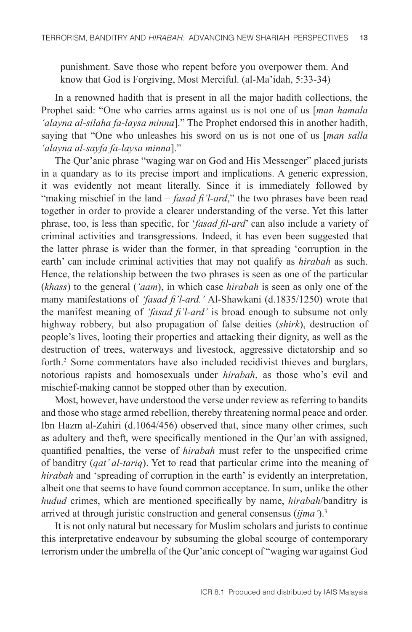punishment. Save those who repent before you overpower them. And know that God is Forgiving, Most Merciful. (al-Ma'idah, 5:33-34)

In a renowned hadith that is present in all the major hadith collections, the Prophet said: "One who carries arms against us is not one of us [*man hamala 'alayna al-silaha fa-laysa minna*]." The Prophet endorsed this in another hadith, saying that "One who unleashes his sword on us is not one of us [*man salla 'alayna al-sayfa fa-laysa minna*]."

The Qur'anic phrase "waging war on God and His Messenger" placed jurists in a quandary as to its precise import and implications. A generic expression, it was evidently not meant literally. Since it is immediately followed by "making mischief in the land – *fasad fi'l-ard*," the two phrases have been read together in order to provide a clearer understanding of the verse. Yet this latter phrase, too, is less than specific, for '*fasad fil-ard*' can also include a variety of criminal activities and transgressions. Indeed, it has even been suggested that the latter phrase is wider than the former, in that spreading 'corruption in the earth' can include criminal activities that may not qualify as *hirabah* as such. Hence, the relationship between the two phrases is seen as one of the particular (*khass*) to the general (*'aam*), in which case *hirabah* is seen as only one of the many manifestations of *'fasad fi'l-ard.'* Al-Shawkani (d.1835/1250) wrote that the manifest meaning of *'fasad fi'l-ard'* is broad enough to subsume not only highway robbery, but also propagation of false deities (*shirk*), destruction of people's lives, looting their properties and attacking their dignity, as well as the destruction of trees, waterways and livestock, aggressive dictatorship and so forth.<sup>2</sup> Some commentators have also included recidivist thieves and burglars, notorious rapists and homosexuals under *hirabah*, as those who's evil and mischief-making cannot be stopped other than by execution.

Most, however, have understood the verse under review as referring to bandits and those who stage armed rebellion, thereby threatening normal peace and order. Ibn Hazm al-Zahiri (d.1064/456) observed that, since many other crimes, such as adultery and theft, were specifically mentioned in the Qur'an with assigned, quantified penalties, the verse of *hirabah* must refer to the unspecified crime of banditry (*qat' al-tariq*). Yet to read that particular crime into the meaning of *hirabah* and 'spreading of corruption in the earth' is evidently an interpretation, albeit one that seems to have found common acceptance. In sum, unlike the other *hudud* crimes, which are mentioned specifically by name, *hirabah*/banditry is arrived at through juristic construction and general consensus (*ijma'*).3

It is not only natural but necessary for Muslim scholars and jurists to continue this interpretative endeavour by subsuming the global scourge of contemporary terrorism under the umbrella of the Qur'anic concept of "waging war against God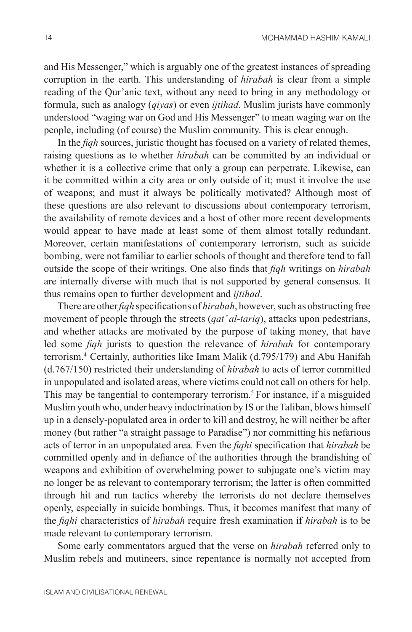and His Messenger," which is arguably one of the greatest instances of spreading corruption in the earth. This understanding of *hirabah* is clear from a simple reading of the Qur'anic text, without any need to bring in any methodology or formula, such as analogy (*qiyas*) or even *ijtihad*. Muslim jurists have commonly understood "waging war on God and His Messenger" to mean waging war on the people, including (of course) the Muslim community. This is clear enough.

In the *fiqh* sources, juristic thought has focused on a variety of related themes, raising questions as to whether *hirabah* can be committed by an individual or whether it is a collective crime that only a group can perpetrate. Likewise, can it be committed within a city area or only outside of it; must it involve the use of weapons; and must it always be politically motivated? Although most of these questions are also relevant to discussions about contemporary terrorism, the availability of remote devices and a host of other more recent developments would appear to have made at least some of them almost totally redundant. Moreover, certain manifestations of contemporary terrorism, such as suicide bombing, were not familiar to earlier schools of thought and therefore tend to fall outside the scope of their writings. One also finds that *fiqh* writings on *hirabah* are internally diverse with much that is not supported by general consensus. It thus remains open to further development and *ijtihad*.

There are other *fiqh* specifications of *hirabah*, however, such as obstructing free movement of people through the streets (*qat' al-tariq*), attacks upon pedestrians, and whether attacks are motivated by the purpose of taking money, that have led some *fiqh* jurists to question the relevance of *hirabah* for contemporary terrorism.4 Certainly, authorities like Imam Malik (d.795/179) and Abu Hanifah (d.767/150) restricted their understanding of *hirabah* to acts of terror committed in unpopulated and isolated areas, where victims could not call on others for help. This may be tangential to contemporary terrorism.5 For instance, if a misguided Muslim youth who, under heavy indoctrination by IS or the Taliban, blows himself up in a densely-populated area in order to kill and destroy, he will neither be after money (but rather "a straight passage to Paradise") nor committing his nefarious acts of terror in an unpopulated area. Even the *fiqhi* specification that *hirabah* be committed openly and in defiance of the authorities through the brandishing of weapons and exhibition of overwhelming power to subjugate one's victim may no longer be as relevant to contemporary terrorism; the latter is often committed through hit and run tactics whereby the terrorists do not declare themselves openly, especially in suicide bombings. Thus, it becomes manifest that many of the *fiqhi* characteristics of *hirabah* require fresh examination if *hirabah* is to be made relevant to contemporary terrorism.

Some early commentators argued that the verse on *hirabah* referred only to Muslim rebels and mutineers, since repentance is normally not accepted from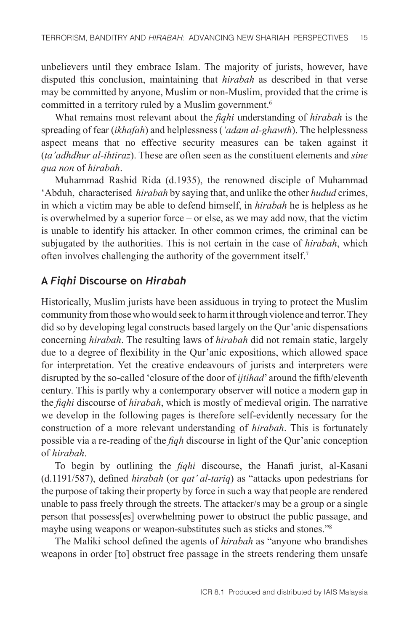unbelievers until they embrace Islam. The majority of jurists, however, have disputed this conclusion, maintaining that *hirabah* as described in that verse may be committed by anyone, Muslim or non-Muslim, provided that the crime is committed in a territory ruled by a Muslim government.<sup>6</sup>

What remains most relevant about the *fiqhi* understanding of *hirabah* is the spreading of fear (*ikhafah*) and helplessness (*'adam al-ghawth*). The helplessness aspect means that no effective security measures can be taken against it (*ta'adhdhur al-ihtiraz*). These are often seen as the constituent elements and *sine qua non* of *hirabah*.

Muhammad Rashid Rida (d.1935), the renowned disciple of Muhammad 'Abduh, characterised *hirabah* by saying that, and unlike the other *hudud* crimes, in which a victim may be able to defend himself, in *hirabah* he is helpless as he is overwhelmed by a superior force – or else, as we may add now, that the victim is unable to identify his attacker. In other common crimes, the criminal can be subjugated by the authorities. This is not certain in the case of *hirabah*, which often involves challenging the authority of the government itself.7

## **A** *Fiqhi* **Discourse on** *Hirabah*

Historically, Muslim jurists have been assiduous in trying to protect the Muslim community from those who would seek to harm it through violence and terror. They did so by developing legal constructs based largely on the Qur'anic dispensations concerning *hirabah*. The resulting laws of *hirabah* did not remain static, largely due to a degree of flexibility in the Qur'anic expositions, which allowed space for interpretation. Yet the creative endeavours of jurists and interpreters were disrupted by the so-called 'closure of the door of *ijtihad*' around the fifth/eleventh century. This is partly why a contemporary observer will notice a modern gap in the *fiqhi* discourse of *hirabah*, which is mostly of medieval origin. The narrative we develop in the following pages is therefore self-evidently necessary for the construction of a more relevant understanding of *hirabah*. This is fortunately possible via a re-reading of the *fiqh* discourse in light of the Qur'anic conception of *hirabah*.

To begin by outlining the *fiqhi* discourse, the Hanafi jurist, al-Kasani (d.1191/587), defined *hirabah* (or *qat' al-tariq*) as "attacks upon pedestrians for the purpose of taking their property by force in such a way that people are rendered unable to pass freely through the streets. The attacker/s may be a group or a single person that possess[es] overwhelming power to obstruct the public passage, and maybe using weapons or weapon-substitutes such as sticks and stones."<sup>8</sup>

The Maliki school defined the agents of *hirabah* as "anyone who brandishes weapons in order [to] obstruct free passage in the streets rendering them unsafe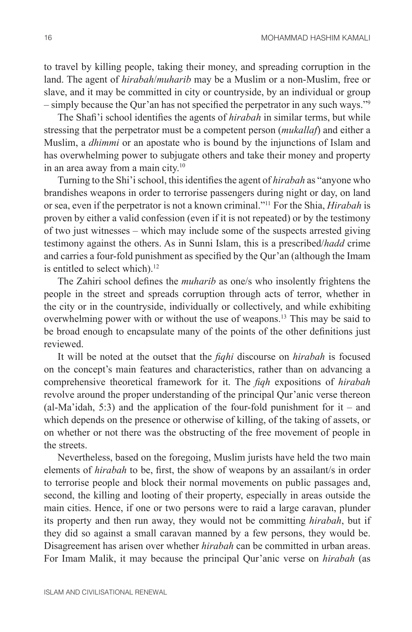to travel by killing people, taking their money, and spreading corruption in the land. The agent of *hirabah*/*muharib* may be a Muslim or a non-Muslim, free or slave, and it may be committed in city or countryside, by an individual or group – simply because the Qur'an has not specified the perpetrator in any such ways."<sup>9</sup>

The Shafi'i school identifies the agents of *hirabah* in similar terms, but while stressing that the perpetrator must be a competent person (*mukallaf*) and either a Muslim, a *dhimmi* or an apostate who is bound by the injunctions of Islam and has overwhelming power to subjugate others and take their money and property in an area away from a main city.<sup>10</sup>

Turning to the Shi'i school, this identifies the agent of *hirabah* as "anyone who brandishes weapons in order to terrorise passengers during night or day, on land or sea, even if the perpetrator is not a known criminal."11 For the Shia, *Hirabah* is proven by either a valid confession (even if it is not repeated) or by the testimony of two just witnesses – which may include some of the suspects arrested giving testimony against the others. As in Sunni Islam, this is a prescribed/*hadd* crime and carries a four-fold punishment as specified by the Qur'an (although the Imam is entitled to select which).<sup>12</sup>

The Zahiri school defines the *muharib* as one/s who insolently frightens the people in the street and spreads corruption through acts of terror, whether in the city or in the countryside, individually or collectively, and while exhibiting overwhelming power with or without the use of weapons.13 This may be said to be broad enough to encapsulate many of the points of the other definitions just reviewed.

It will be noted at the outset that the *fiqhi* discourse on *hirabah* is focused on the concept's main features and characteristics, rather than on advancing a comprehensive theoretical framework for it. The *fiqh* expositions of *hirabah* revolve around the proper understanding of the principal Qur'anic verse thereon  $(al-Ma'idah, 5:3)$  and the application of the four-fold punishment for it – and which depends on the presence or otherwise of killing, of the taking of assets, or on whether or not there was the obstructing of the free movement of people in the streets.

Nevertheless, based on the foregoing, Muslim jurists have held the two main elements of *hirabah* to be, first, the show of weapons by an assailant/s in order to terrorise people and block their normal movements on public passages and, second, the killing and looting of their property, especially in areas outside the main cities. Hence, if one or two persons were to raid a large caravan, plunder its property and then run away, they would not be committing *hirabah*, but if they did so against a small caravan manned by a few persons, they would be. Disagreement has arisen over whether *hirabah* can be committed in urban areas. For Imam Malik, it may because the principal Qur'anic verse on *hirabah* (as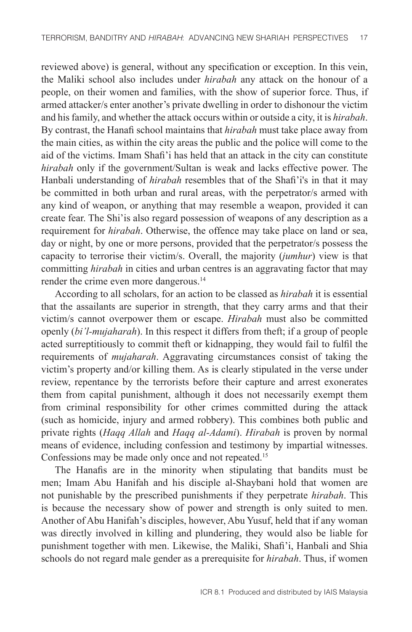reviewed above) is general, without any specification or exception. In this vein, the Maliki school also includes under *hirabah* any attack on the honour of a people, on their women and families, with the show of superior force. Thus, if armed attacker/s enter another's private dwelling in order to dishonour the victim and his family, and whether the attack occurs within or outside a city, it is *hirabah*. By contrast, the Hanafi school maintains that *hirabah* must take place away from the main cities, as within the city areas the public and the police will come to the aid of the victims. Imam Shafi'i has held that an attack in the city can constitute *hirabah* only if the government/Sultan is weak and lacks effective power. The Hanbali understanding of *hirabah* resembles that of the Shafi'i's in that it may be committed in both urban and rural areas, with the perpetrator/s armed with any kind of weapon, or anything that may resemble a weapon, provided it can create fear. The Shi'is also regard possession of weapons of any description as a requirement for *hirabah*. Otherwise, the offence may take place on land or sea, day or night, by one or more persons, provided that the perpetrator/s possess the capacity to terrorise their victim/s. Overall, the majority (*jumhur*) view is that committing *hirabah* in cities and urban centres is an aggravating factor that may render the crime even more dangerous.<sup>14</sup>

According to all scholars, for an action to be classed as *hirabah* it is essential that the assailants are superior in strength, that they carry arms and that their victim/s cannot overpower them or escape. *Hirabah* must also be committed openly (*bi'l-mujaharah*). In this respect it differs from theft; if a group of people acted surreptitiously to commit theft or kidnapping, they would fail to fulfil the requirements of *mujaharah*. Aggravating circumstances consist of taking the victim's property and/or killing them. As is clearly stipulated in the verse under review, repentance by the terrorists before their capture and arrest exonerates them from capital punishment, although it does not necessarily exempt them from criminal responsibility for other crimes committed during the attack (such as homicide, injury and armed robbery). This combines both public and private rights (*Haqq Allah* and *Haqq al-Adami*). *Hirabah* is proven by normal means of evidence, including confession and testimony by impartial witnesses. Confessions may be made only once and not repeated.<sup>15</sup>

The Hanafis are in the minority when stipulating that bandits must be men; Imam Abu Hanifah and his disciple al-Shaybani hold that women are not punishable by the prescribed punishments if they perpetrate *hirabah*. This is because the necessary show of power and strength is only suited to men. Another of Abu Hanifah's disciples, however, Abu Yusuf, held that if any woman was directly involved in killing and plundering, they would also be liable for punishment together with men. Likewise, the Maliki, Shafi'i, Hanbali and Shia schools do not regard male gender as a prerequisite for *hirabah*. Thus, if women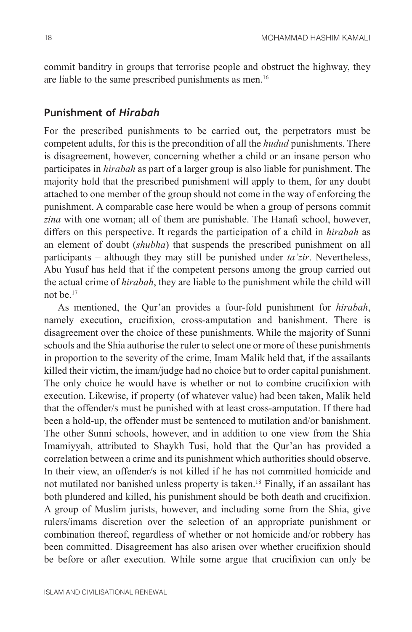commit banditry in groups that terrorise people and obstruct the highway, they are liable to the same prescribed punishments as men.<sup>16</sup>

#### **Punishment of** *Hirabah*

For the prescribed punishments to be carried out, the perpetrators must be competent adults, for this is the precondition of all the *hudud* punishments. There is disagreement, however, concerning whether a child or an insane person who participates in *hirabah* as part of a larger group is also liable for punishment. The majority hold that the prescribed punishment will apply to them, for any doubt attached to one member of the group should not come in the way of enforcing the punishment. A comparable case here would be when a group of persons commit *zina* with one woman; all of them are punishable. The Hanafi school, however, differs on this perspective. It regards the participation of a child in *hirabah* as an element of doubt (*shubha*) that suspends the prescribed punishment on all participants – although they may still be punished under *ta'zir*. Nevertheless, Abu Yusuf has held that if the competent persons among the group carried out the actual crime of *hirabah*, they are liable to the punishment while the child will not be<sup>17</sup>

As mentioned, the Qur'an provides a four-fold punishment for *hirabah*, namely execution, crucifixion, cross-amputation and banishment. There is disagreement over the choice of these punishments. While the majority of Sunni schools and the Shia authorise the ruler to select one or more of these punishments in proportion to the severity of the crime, Imam Malik held that, if the assailants killed their victim, the imam/judge had no choice but to order capital punishment. The only choice he would have is whether or not to combine crucifixion with execution. Likewise, if property (of whatever value) had been taken, Malik held that the offender/s must be punished with at least cross-amputation. If there had been a hold-up, the offender must be sentenced to mutilation and/or banishment. The other Sunni schools, however, and in addition to one view from the Shia Imamiyyah, attributed to Shaykh Tusi, hold that the Qur'an has provided a correlation between a crime and its punishment which authorities should observe. In their view, an offender/s is not killed if he has not committed homicide and not mutilated nor banished unless property is taken.<sup>18</sup> Finally, if an assailant has both plundered and killed, his punishment should be both death and crucifixion. A group of Muslim jurists, however, and including some from the Shia, give rulers/imams discretion over the selection of an appropriate punishment or combination thereof, regardless of whether or not homicide and/or robbery has been committed. Disagreement has also arisen over whether crucifixion should be before or after execution. While some argue that crucifixion can only be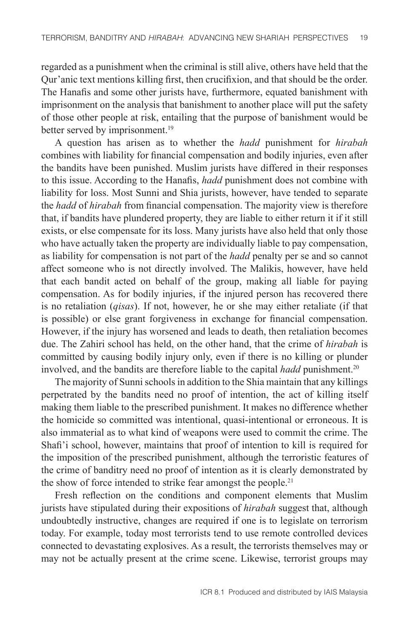regarded as a punishment when the criminal is still alive, others have held that the Qur'anic text mentions killing first, then crucifixion, and that should be the order. The Hanafis and some other jurists have, furthermore, equated banishment with imprisonment on the analysis that banishment to another place will put the safety of those other people at risk, entailing that the purpose of banishment would be better served by imprisonment.<sup>19</sup>

A question has arisen as to whether the *hadd* punishment for *hirabah* combines with liability for financial compensation and bodily injuries, even after the bandits have been punished. Muslim jurists have differed in their responses to this issue. According to the Hanafis, *hadd* punishment does not combine with liability for loss. Most Sunni and Shia jurists, however, have tended to separate the *hadd* of *hirabah* from financial compensation. The majority view is therefore that, if bandits have plundered property, they are liable to either return it if it still exists, or else compensate for its loss. Many jurists have also held that only those who have actually taken the property are individually liable to pay compensation, as liability for compensation is not part of the *hadd* penalty per se and so cannot affect someone who is not directly involved. The Malikis, however, have held that each bandit acted on behalf of the group, making all liable for paying compensation. As for bodily injuries, if the injured person has recovered there is no retaliation (*qisas*). If not, however, he or she may either retaliate (if that is possible) or else grant forgiveness in exchange for financial compensation. However, if the injury has worsened and leads to death, then retaliation becomes due. The Zahiri school has held, on the other hand, that the crime of *hirabah* is committed by causing bodily injury only, even if there is no killing or plunder involved, and the bandits are therefore liable to the capital *hadd* punishment.<sup>20</sup>

The majority of Sunni schools in addition to the Shia maintain that any killings perpetrated by the bandits need no proof of intention, the act of killing itself making them liable to the prescribed punishment. It makes no difference whether the homicide so committed was intentional, quasi-intentional or erroneous. It is also immaterial as to what kind of weapons were used to commit the crime. The Shafi'i school, however, maintains that proof of intention to kill is required for the imposition of the prescribed punishment, although the terroristic features of the crime of banditry need no proof of intention as it is clearly demonstrated by the show of force intended to strike fear amongst the people.<sup>21</sup>

Fresh reflection on the conditions and component elements that Muslim jurists have stipulated during their expositions of *hirabah* suggest that, although undoubtedly instructive, changes are required if one is to legislate on terrorism today. For example, today most terrorists tend to use remote controlled devices connected to devastating explosives. As a result, the terrorists themselves may or may not be actually present at the crime scene. Likewise, terrorist groups may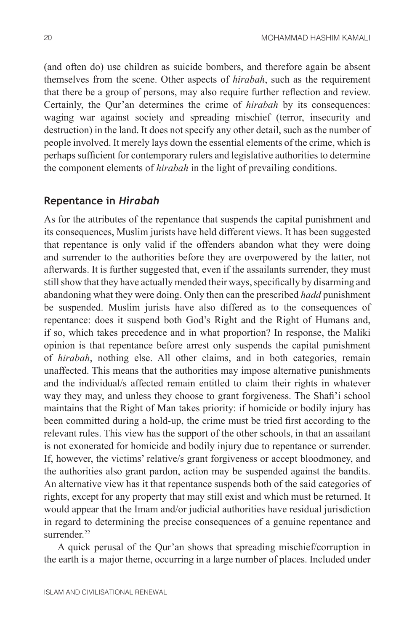(and often do) use children as suicide bombers, and therefore again be absent themselves from the scene. Other aspects of *hirabah*, such as the requirement that there be a group of persons, may also require further reflection and review. Certainly, the Qur'an determines the crime of *hirabah* by its consequences: waging war against society and spreading mischief (terror, insecurity and destruction) in the land. It does not specify any other detail, such as the number of people involved. It merely lays down the essential elements of the crime, which is perhaps sufficient for contemporary rulers and legislative authorities to determine the component elements of *hirabah* in the light of prevailing conditions.

## **Repentance in** *Hirabah*

As for the attributes of the repentance that suspends the capital punishment and its consequences, Muslim jurists have held different views. It has been suggested that repentance is only valid if the offenders abandon what they were doing and surrender to the authorities before they are overpowered by the latter, not afterwards. It is further suggested that, even if the assailants surrender, they must still show that they have actually mended their ways, specifically by disarming and abandoning what they were doing. Only then can the prescribed *hadd* punishment be suspended. Muslim jurists have also differed as to the consequences of repentance: does it suspend both God's Right and the Right of Humans and, if so, which takes precedence and in what proportion? In response, the Maliki opinion is that repentance before arrest only suspends the capital punishment of *hirabah*, nothing else. All other claims, and in both categories, remain unaffected. This means that the authorities may impose alternative punishments and the individual/s affected remain entitled to claim their rights in whatever way they may, and unless they choose to grant forgiveness. The Shafi'i school maintains that the Right of Man takes priority: if homicide or bodily injury has been committed during a hold-up, the crime must be tried first according to the relevant rules. This view has the support of the other schools, in that an assailant is not exonerated for homicide and bodily injury due to repentance or surrender. If, however, the victims' relative/s grant forgiveness or accept bloodmoney, and the authorities also grant pardon, action may be suspended against the bandits. An alternative view has it that repentance suspends both of the said categories of rights, except for any property that may still exist and which must be returned. It would appear that the Imam and/or judicial authorities have residual jurisdiction in regard to determining the precise consequences of a genuine repentance and surrender<sup>22</sup>

A quick perusal of the Qur'an shows that spreading mischief/corruption in the earth is a major theme, occurring in a large number of places. Included under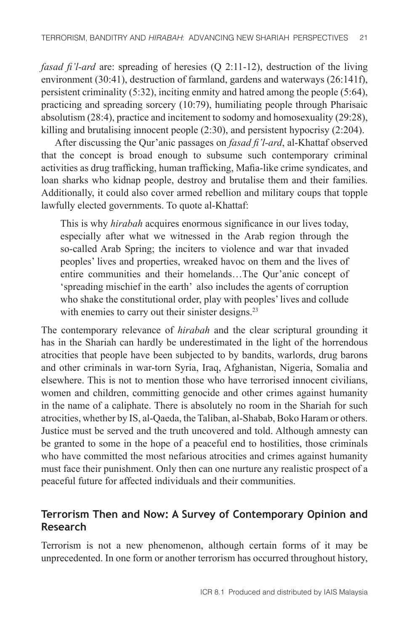*fasad fi'l-ard* are: spreading of heresies (Q 2:11-12), destruction of the living environment (30:41), destruction of farmland, gardens and waterways (26:141f), persistent criminality (5:32), inciting enmity and hatred among the people (5:64), practicing and spreading sorcery (10:79), humiliating people through Pharisaic absolutism (28:4), practice and incitement to sodomy and homosexuality (29:28), killing and brutalising innocent people (2:30), and persistent hypocrisy (2:204).

After discussing the Qur'anic passages on *fasad fi'l-ard*, al-Khattaf observed that the concept is broad enough to subsume such contemporary criminal activities as drug trafficking, human trafficking, Mafia-like crime syndicates, and loan sharks who kidnap people, destroy and brutalise them and their families. Additionally, it could also cover armed rebellion and military coups that topple lawfully elected governments. To quote al-Khattaf:

This is why *hirabah* acquires enormous significance in our lives today, especially after what we witnessed in the Arab region through the so-called Arab Spring; the inciters to violence and war that invaded peoples' lives and properties, wreaked havoc on them and the lives of entire communities and their homelands…The Qur'anic concept of 'spreading mischief in the earth' also includes the agents of corruption who shake the constitutional order, play with peoples' lives and collude with enemies to carry out their sinister designs.<sup>23</sup>

The contemporary relevance of *hirabah* and the clear scriptural grounding it has in the Shariah can hardly be underestimated in the light of the horrendous atrocities that people have been subjected to by bandits, warlords, drug barons and other criminals in war-torn Syria, Iraq, Afghanistan, Nigeria, Somalia and elsewhere. This is not to mention those who have terrorised innocent civilians, women and children, committing genocide and other crimes against humanity in the name of a caliphate. There is absolutely no room in the Shariah for such atrocities, whether by IS, al-Qaeda, the Taliban, al-Shabab, Boko Haram or others. Justice must be served and the truth uncovered and told. Although amnesty can be granted to some in the hope of a peaceful end to hostilities, those criminals who have committed the most nefarious atrocities and crimes against humanity must face their punishment. Only then can one nurture any realistic prospect of a peaceful future for affected individuals and their communities.

## **Terrorism Then and Now: A Survey of Contemporary Opinion and Research**

Terrorism is not a new phenomenon, although certain forms of it may be unprecedented. In one form or another terrorism has occurred throughout history,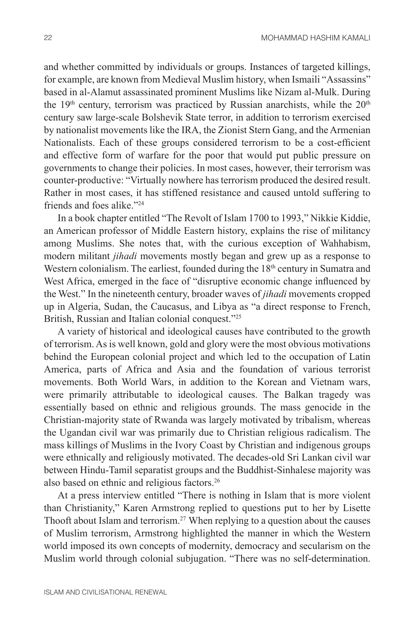and whether committed by individuals or groups. Instances of targeted killings, for example, are known from Medieval Muslim history, when Ismaili "Assassins" based in al-Alamut assassinated prominent Muslims like Nizam al-Mulk. During the 19<sup>th</sup> century, terrorism was practiced by Russian anarchists, while the 20<sup>th</sup> century saw large-scale Bolshevik State terror, in addition to terrorism exercised by nationalist movements like the IRA, the Zionist Stern Gang, and the Armenian Nationalists. Each of these groups considered terrorism to be a cost-efficient and effective form of warfare for the poor that would put public pressure on governments to change their policies. In most cases, however, their terrorism was counter-productive: "Virtually nowhere has terrorism produced the desired result. Rather in most cases, it has stiffened resistance and caused untold suffering to friends and foes alike<sup>"24</sup>

In a book chapter entitled "The Revolt of Islam 1700 to 1993," Nikkie Kiddie, an American professor of Middle Eastern history, explains the rise of militancy among Muslims. She notes that, with the curious exception of Wahhabism, modern militant *jihadi* movements mostly began and grew up as a response to Western colonialism. The earliest, founded during the 18<sup>th</sup> century in Sumatra and West Africa, emerged in the face of "disruptive economic change influenced by the West." In the nineteenth century, broader waves of *jihadi* movements cropped up in Algeria, Sudan, the Caucasus, and Libya as "a direct response to French, British, Russian and Italian colonial conquest."25

A variety of historical and ideological causes have contributed to the growth of terrorism. As is well known, gold and glory were the most obvious motivations behind the European colonial project and which led to the occupation of Latin America, parts of Africa and Asia and the foundation of various terrorist movements. Both World Wars, in addition to the Korean and Vietnam wars, were primarily attributable to ideological causes. The Balkan tragedy was essentially based on ethnic and religious grounds. The mass genocide in the Christian-majority state of Rwanda was largely motivated by tribalism, whereas the Ugandan civil war was primarily due to Christian religious radicalism. The mass killings of Muslims in the Ivory Coast by Christian and indigenous groups were ethnically and religiously motivated. The decades-old Sri Lankan civil war between Hindu-Tamil separatist groups and the Buddhist-Sinhalese majority was also based on ethnic and religious factors.26

At a press interview entitled "There is nothing in Islam that is more violent than Christianity," Karen Armstrong replied to questions put to her by Lisette Thooft about Islam and terrorism.<sup>27</sup> When replying to a question about the causes of Muslim terrorism, Armstrong highlighted the manner in which the Western world imposed its own concepts of modernity, democracy and secularism on the Muslim world through colonial subjugation. "There was no self-determination.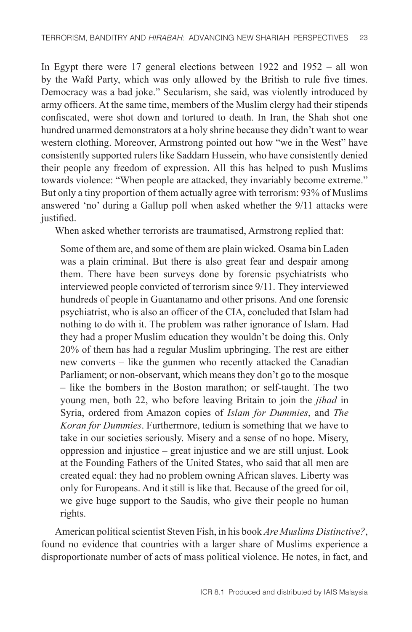In Egypt there were 17 general elections between 1922 and 1952 – all won by the Wafd Party, which was only allowed by the British to rule five times. Democracy was a bad joke." Secularism, she said, was violently introduced by army officers. At the same time, members of the Muslim clergy had their stipends confiscated, were shot down and tortured to death. In Iran, the Shah shot one hundred unarmed demonstrators at a holy shrine because they didn't want to wear western clothing. Moreover, Armstrong pointed out how "we in the West" have consistently supported rulers like Saddam Hussein, who have consistently denied their people any freedom of expression. All this has helped to push Muslims towards violence: "When people are attacked, they invariably become extreme." But only a tiny proportion of them actually agree with terrorism: 93% of Muslims answered 'no' during a Gallup poll when asked whether the 9/11 attacks were justified.

When asked whether terrorists are traumatised, Armstrong replied that:

Some of them are, and some of them are plain wicked. Osama bin Laden was a plain criminal. But there is also great fear and despair among them. There have been surveys done by forensic psychiatrists who interviewed people convicted of terrorism since 9/11. They interviewed hundreds of people in Guantanamo and other prisons. And one forensic psychiatrist, who is also an officer of the CIA, concluded that Islam had nothing to do with it. The problem was rather ignorance of Islam. Had they had a proper Muslim education they wouldn't be doing this. Only 20% of them has had a regular Muslim upbringing. The rest are either new converts – like the gunmen who recently attacked the Canadian Parliament; or non-observant, which means they don't go to the mosque – like the bombers in the Boston marathon; or self-taught. The two young men, both 22, who before leaving Britain to join the *jihad* in Syria, ordered from Amazon copies of *Islam for Dummies*, and *The Koran for Dummies*. Furthermore, tedium is something that we have to take in our societies seriously. Misery and a sense of no hope. Misery, oppression and injustice – great injustice and we are still unjust. Look at the Founding Fathers of the United States, who said that all men are created equal: they had no problem owning African slaves. Liberty was only for Europeans. And it still is like that. Because of the greed for oil, we give huge support to the Saudis, who give their people no human rights.

American political scientist Steven Fish, in his book *Are Muslims Distinctive?*, found no evidence that countries with a larger share of Muslims experience a disproportionate number of acts of mass political violence. He notes, in fact, and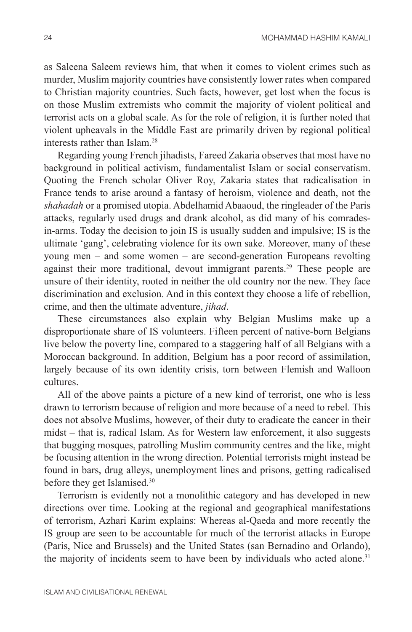as Saleena Saleem reviews him, that when it comes to violent crimes such as murder, Muslim majority countries have consistently lower rates when compared to Christian majority countries. Such facts, however, get lost when the focus is on those Muslim extremists who commit the majority of violent political and terrorist acts on a global scale. As for the role of religion, it is further noted that violent upheavals in the Middle East are primarily driven by regional political interests rather than Islam.28

Regarding young French jihadists, Fareed Zakaria observes that most have no background in political activism, fundamentalist Islam or social conservatism. Quoting the French scholar Oliver Roy, Zakaria states that radicalisation in France tends to arise around a fantasy of heroism, violence and death, not the *shahadah* or a promised utopia. Abdelhamid Abaaoud, the ringleader of the Paris attacks, regularly used drugs and drank alcohol, as did many of his comradesin-arms. Today the decision to join IS is usually sudden and impulsive; IS is the ultimate 'gang', celebrating violence for its own sake. Moreover, many of these young men – and some women – are second-generation Europeans revolting against their more traditional, devout immigrant parents.<sup>29</sup> These people are unsure of their identity, rooted in neither the old country nor the new. They face discrimination and exclusion. And in this context they choose a life of rebellion, crime, and then the ultimate adventure, *jihad*.

These circumstances also explain why Belgian Muslims make up a disproportionate share of IS volunteers. Fifteen percent of native-born Belgians live below the poverty line, compared to a staggering half of all Belgians with a Moroccan background. In addition, Belgium has a poor record of assimilation, largely because of its own identity crisis, torn between Flemish and Walloon cultures.

All of the above paints a picture of a new kind of terrorist, one who is less drawn to terrorism because of religion and more because of a need to rebel. This does not absolve Muslims, however, of their duty to eradicate the cancer in their midst – that is, radical Islam. As for Western law enforcement, it also suggests that bugging mosques, patrolling Muslim community centres and the like, might be focusing attention in the wrong direction. Potential terrorists might instead be found in bars, drug alleys, unemployment lines and prisons, getting radicalised before they get Islamised.<sup>30</sup>

Terrorism is evidently not a monolithic category and has developed in new directions over time. Looking at the regional and geographical manifestations of terrorism, Azhari Karim explains: Whereas al-Qaeda and more recently the IS group are seen to be accountable for much of the terrorist attacks in Europe (Paris, Nice and Brussels) and the United States (san Bernadino and Orlando), the majority of incidents seem to have been by individuals who acted alone.<sup>31</sup>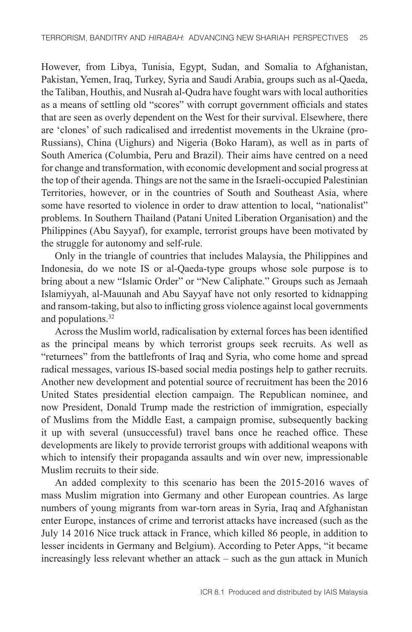However, from Libya, Tunisia, Egypt, Sudan, and Somalia to Afghanistan, Pakistan, Yemen, Iraq, Turkey, Syria and Saudi Arabia, groups such as al-Qaeda, the Taliban, Houthis, and Nusrah al-Qudra have fought wars with local authorities as a means of settling old "scores" with corrupt government officials and states that are seen as overly dependent on the West for their survival. Elsewhere, there are 'clones' of such radicalised and irredentist movements in the Ukraine (pro-Russians), China (Uighurs) and Nigeria (Boko Haram), as well as in parts of South America (Columbia, Peru and Brazil). Their aims have centred on a need for change and transformation, with economic development and social progress at the top of their agenda. Things are not the same in the Israeli-occupied Palestinian Territories, however, or in the countries of South and Southeast Asia, where some have resorted to violence in order to draw attention to local, "nationalist" problems. In Southern Thailand (Patani United Liberation Organisation) and the Philippines (Abu Sayyaf), for example, terrorist groups have been motivated by the struggle for autonomy and self-rule.

Only in the triangle of countries that includes Malaysia, the Philippines and Indonesia, do we note IS or al-Qaeda-type groups whose sole purpose is to bring about a new "Islamic Order" or "New Caliphate." Groups such as Jemaah Islamiyyah, al-Mauunah and Abu Sayyaf have not only resorted to kidnapping and ransom-taking, but also to inflicting gross violence against local governments and populations.<sup>32</sup>

Across the Muslim world, radicalisation by external forces has been identified as the principal means by which terrorist groups seek recruits. As well as "returnees" from the battlefronts of Iraq and Syria, who come home and spread radical messages, various IS-based social media postings help to gather recruits. Another new development and potential source of recruitment has been the 2016 United States presidential election campaign. The Republican nominee, and now President, Donald Trump made the restriction of immigration, especially of Muslims from the Middle East, a campaign promise, subsequently backing it up with several (unsuccessful) travel bans once he reached office. These developments are likely to provide terrorist groups with additional weapons with which to intensify their propaganda assaults and win over new, impressionable Muslim recruits to their side.

An added complexity to this scenario has been the 2015-2016 waves of mass Muslim migration into Germany and other European countries. As large numbers of young migrants from war-torn areas in Syria, Iraq and Afghanistan enter Europe, instances of crime and terrorist attacks have increased (such as the July 14 2016 Nice truck attack in France, which killed 86 people, in addition to lesser incidents in Germany and Belgium). According to Peter Apps, "it became increasingly less relevant whether an attack – such as the gun attack in Munich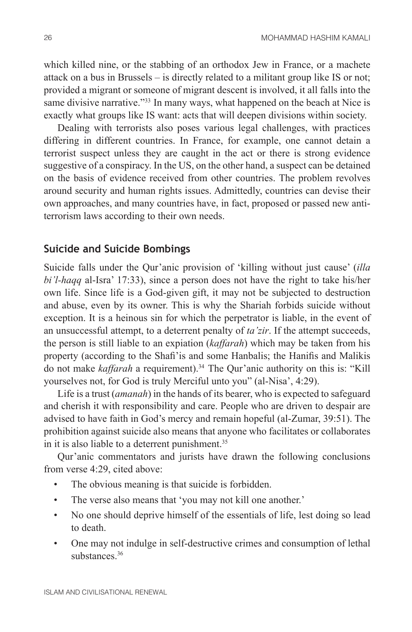which killed nine, or the stabbing of an orthodox Jew in France, or a machete attack on a bus in Brussels – is directly related to a militant group like IS or not; provided a migrant or someone of migrant descent is involved, it all falls into the same divisive narrative."<sup>33</sup> In many ways, what happened on the beach at Nice is exactly what groups like IS want: acts that will deepen divisions within society.

Dealing with terrorists also poses various legal challenges, with practices differing in different countries. In France, for example, one cannot detain a terrorist suspect unless they are caught in the act or there is strong evidence suggestive of a conspiracy. In the US, on the other hand, a suspect can be detained on the basis of evidence received from other countries. The problem revolves around security and human rights issues. Admittedly, countries can devise their own approaches, and many countries have, in fact, proposed or passed new antiterrorism laws according to their own needs.

#### **Suicide and Suicide Bombings**

Suicide falls under the Qur'anic provision of 'killing without just cause' (*illa bi'l-haqq* al-Isra' 17:33), since a person does not have the right to take his/her own life. Since life is a God-given gift, it may not be subjected to destruction and abuse, even by its owner. This is why the Shariah forbids suicide without exception. It is a heinous sin for which the perpetrator is liable, in the event of an unsuccessful attempt, to a deterrent penalty of *ta'zir*. If the attempt succeeds, the person is still liable to an expiation (*kaffarah*) which may be taken from his property (according to the Shafi'is and some Hanbalis; the Hanifis and Malikis do not make *kaffarah* a requirement).<sup>34</sup> The Qur'anic authority on this is: "Kill yourselves not, for God is truly Merciful unto you" (al-Nisa', 4:29).

Life is a trust (*amanah*) in the hands of its bearer, who is expected to safeguard and cherish it with responsibility and care. People who are driven to despair are advised to have faith in God's mercy and remain hopeful (al-Zumar, 39:51). The prohibition against suicide also means that anyone who facilitates or collaborates in it is also liable to a deterrent punishment.<sup>35</sup>

Qur'anic commentators and jurists have drawn the following conclusions from verse 4:29, cited above:

- The obvious meaning is that suicide is forbidden.
- The verse also means that 'you may not kill one another.'
- No one should deprive himself of the essentials of life, lest doing so lead to death.
- One may not indulge in self-destructive crimes and consumption of lethal substances.<sup>36</sup>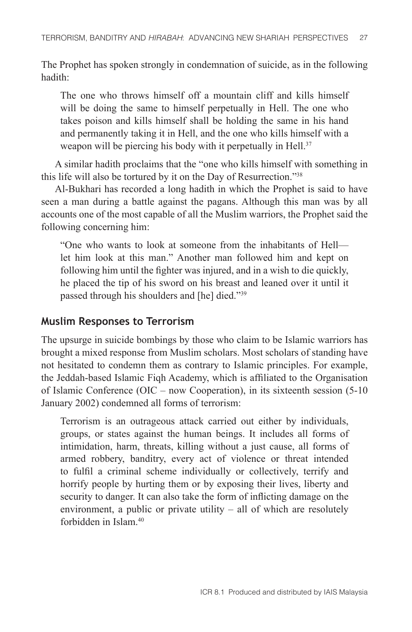The Prophet has spoken strongly in condemnation of suicide, as in the following hadith:

The one who throws himself off a mountain cliff and kills himself will be doing the same to himself perpetually in Hell. The one who takes poison and kills himself shall be holding the same in his hand and permanently taking it in Hell, and the one who kills himself with a weapon will be piercing his body with it perpetually in Hell.<sup>37</sup>

A similar hadith proclaims that the "one who kills himself with something in this life will also be tortured by it on the Day of Resurrection."38

Al-Bukhari has recorded a long hadith in which the Prophet is said to have seen a man during a battle against the pagans. Although this man was by all accounts one of the most capable of all the Muslim warriors, the Prophet said the following concerning him:

"One who wants to look at someone from the inhabitants of Hell let him look at this man." Another man followed him and kept on following him until the fighter was injured, and in a wish to die quickly, he placed the tip of his sword on his breast and leaned over it until it passed through his shoulders and [he] died."39

#### **Muslim Responses to Terrorism**

The upsurge in suicide bombings by those who claim to be Islamic warriors has brought a mixed response from Muslim scholars. Most scholars of standing have not hesitated to condemn them as contrary to Islamic principles. For example, the Jeddah-based Islamic Fiqh Academy, which is affiliated to the Organisation of Islamic Conference (OIC – now Cooperation), in its sixteenth session (5-10 January 2002) condemned all forms of terrorism:

Terrorism is an outrageous attack carried out either by individuals, groups, or states against the human beings. It includes all forms of intimidation, harm, threats, killing without a just cause, all forms of armed robbery, banditry, every act of violence or threat intended to fulfil a criminal scheme individually or collectively, terrify and horrify people by hurting them or by exposing their lives, liberty and security to danger. It can also take the form of inflicting damage on the environment, a public or private utility – all of which are resolutely forbidden in Islam<sup>40</sup>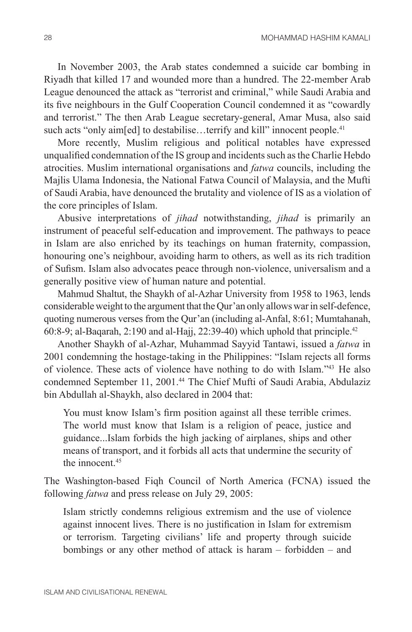In November 2003, the Arab states condemned a suicide car bombing in Riyadh that killed 17 and wounded more than a hundred. The 22-member Arab League denounced the attack as "terrorist and criminal," while Saudi Arabia and its five neighbours in the Gulf Cooperation Council condemned it as "cowardly and terrorist." The then Arab League secretary-general, Amar Musa, also said such acts "only aimfed] to destabilise...terrify and kill" innocent people.<sup>41</sup>

More recently, Muslim religious and political notables have expressed unqualified condemnation of the IS group and incidents such as the Charlie Hebdo atrocities. Muslim international organisations and *fatwa* councils, including the Majlis Ulama Indonesia, the National Fatwa Council of Malaysia, and the Mufti of Saudi Arabia, have denounced the brutality and violence of IS as a violation of the core principles of Islam.

Abusive interpretations of *jihad* notwithstanding, *jihad* is primarily an instrument of peaceful self-education and improvement. The pathways to peace in Islam are also enriched by its teachings on human fraternity, compassion, honouring one's neighbour, avoiding harm to others, as well as its rich tradition of Sufism. Islam also advocates peace through non-violence, universalism and a generally positive view of human nature and potential.

Mahmud Shaltut, the Shaykh of al-Azhar University from 1958 to 1963, lends considerable weight to the argument that the Qur'an only allows war in self-defence, quoting numerous verses from the Qur'an (including al-Anfal, 8:61; Mumtahanah, 60:8-9; al-Baqarah, 2:190 and al-Hajj, 22:39-40) which uphold that principle.<sup>42</sup>

Another Shaykh of al-Azhar, Muhammad Sayyid Tantawi, issued a *fatwa* in 2001 condemning the hostage-taking in the Philippines: "Islam rejects all forms of violence. These acts of violence have nothing to do with Islam."43 He also condemned September 11, 2001.<sup>44</sup> The Chief Mufti of Saudi Arabia, Abdulaziz bin Abdullah al-Shaykh, also declared in 2004 that:

You must know Islam's firm position against all these terrible crimes. The world must know that Islam is a religion of peace, justice and guidance...Islam forbids the high jacking of airplanes, ships and other means of transport, and it forbids all acts that undermine the security of the innocent  $45$ 

The Washington-based Fiqh Council of North America (FCNA) issued the following *fatwa* and press release on July 29, 2005:

Islam strictly condemns religious extremism and the use of violence against innocent lives. There is no justification in Islam for extremism or terrorism. Targeting civilians' life and property through suicide bombings or any other method of attack is haram – forbidden – and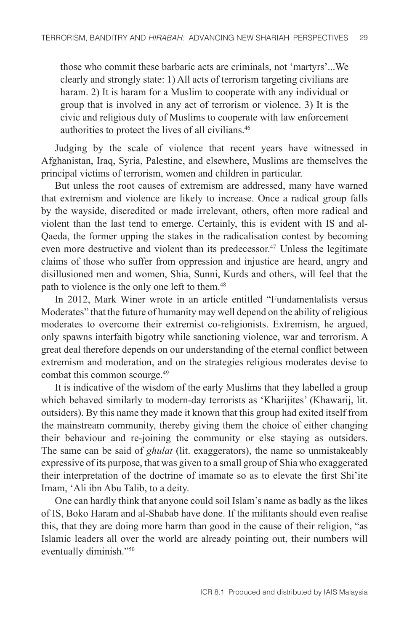those who commit these barbaric acts are criminals, not 'martyrs'...We clearly and strongly state: 1) All acts of terrorism targeting civilians are haram. 2) It is haram for a Muslim to cooperate with any individual or group that is involved in any act of terrorism or violence. 3) It is the civic and religious duty of Muslims to cooperate with law enforcement authorities to protect the lives of all civilians.46

Judging by the scale of violence that recent years have witnessed in Afghanistan, Iraq, Syria, Palestine, and elsewhere, Muslims are themselves the principal victims of terrorism, women and children in particular.

But unless the root causes of extremism are addressed, many have warned that extremism and violence are likely to increase. Once a radical group falls by the wayside, discredited or made irrelevant, others, often more radical and violent than the last tend to emerge. Certainly, this is evident with IS and al-Qaeda, the former upping the stakes in the radicalisation contest by becoming even more destructive and violent than its predecessor.<sup>47</sup> Unless the legitimate claims of those who suffer from oppression and injustice are heard, angry and disillusioned men and women, Shia, Sunni, Kurds and others, will feel that the path to violence is the only one left to them.<sup>48</sup>

In 2012, Mark Winer wrote in an article entitled "Fundamentalists versus Moderates" that the future of humanity may well depend on the ability of religious moderates to overcome their extremist co-religionists. Extremism, he argued, only spawns interfaith bigotry while sanctioning violence, war and terrorism. A great deal therefore depends on our understanding of the eternal conflict between extremism and moderation, and on the strategies religious moderates devise to combat this common scourge.<sup>49</sup>

It is indicative of the wisdom of the early Muslims that they labelled a group which behaved similarly to modern-day terrorists as 'Kharijites' (Khawarij, lit. outsiders). By this name they made it known that this group had exited itself from the mainstream community, thereby giving them the choice of either changing their behaviour and re-joining the community or else staying as outsiders. The same can be said of *ghulat* (lit. exaggerators), the name so unmistakeably expressive of its purpose, that was given to a small group of Shia who exaggerated their interpretation of the doctrine of imamate so as to elevate the first Shi'ite Imam, 'Ali ibn Abu Talib, to a deity.

One can hardly think that anyone could soil Islam's name as badly as the likes of IS, Boko Haram and al-Shabab have done. If the militants should even realise this, that they are doing more harm than good in the cause of their religion, "as Islamic leaders all over the world are already pointing out, their numbers will eventually diminish."50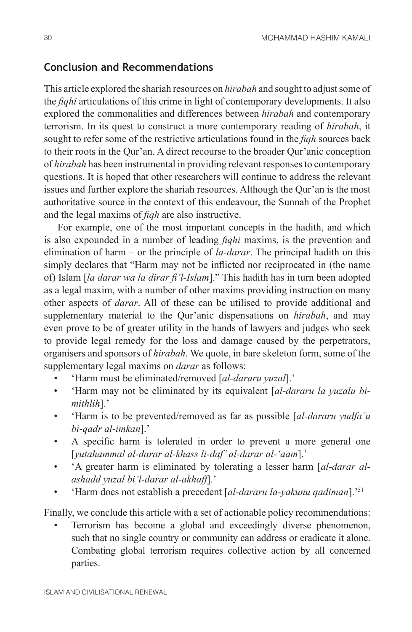## **Conclusion and Recommendations**

This article explored the shariah resources on *hirabah* and sought to adjust some of the *fiqhi* articulations of this crime in light of contemporary developments. It also explored the commonalities and differences between *hirabah* and contemporary terrorism. In its quest to construct a more contemporary reading of *hirabah*, it sought to refer some of the restrictive articulations found in the *fiqh* sources back to their roots in the Qur'an. A direct recourse to the broader Qur'anic conception of *hirabah* has been instrumental in providing relevant responses to contemporary questions. It is hoped that other researchers will continue to address the relevant issues and further explore the shariah resources. Although the Qur'an is the most authoritative source in the context of this endeavour, the Sunnah of the Prophet and the legal maxims of *fiqh* are also instructive.

For example, one of the most important concepts in the hadith, and which is also expounded in a number of leading *fiqhi* maxims, is the prevention and elimination of harm – or the principle of *la-darar*. The principal hadith on this simply declares that "Harm may not be inflicted nor reciprocated in (the name of) Islam [*la darar wa la dirar fi'l-Islam*]." This hadith has in turn been adopted as a legal maxim, with a number of other maxims providing instruction on many other aspects of *darar*. All of these can be utilised to provide additional and supplementary material to the Qur'anic dispensations on *hirabah*, and may even prove to be of greater utility in the hands of lawyers and judges who seek to provide legal remedy for the loss and damage caused by the perpetrators, organisers and sponsors of *hirabah*. We quote, in bare skeleton form, some of the supplementary legal maxims on *darar* as follows:

- 'Harm must be eliminated/removed [*al-dararu yuzal*].'
- 'Harm may not be eliminated by its equivalent [*al-dararu la yuzalu bimithlih*].'
- 'Harm is to be prevented/removed as far as possible [*al-dararu yudfa'u bi-qadr al-imkan*].'
- A specific harm is tolerated in order to prevent a more general one [*yutahammal al-darar al-khass li-daf' al-darar al-'aam*].'
- 'A greater harm is eliminated by tolerating a lesser harm [*al-darar alashadd yuzal bi'l-darar al-akhaff*].'
- 'Harm does not establish a precedent [*al-dararu la-yakunu qadiman*].'51

Finally, we conclude this article with a set of actionable policy recommendations:

• Terrorism has become a global and exceedingly diverse phenomenon, such that no single country or community can address or eradicate it alone. Combating global terrorism requires collective action by all concerned parties.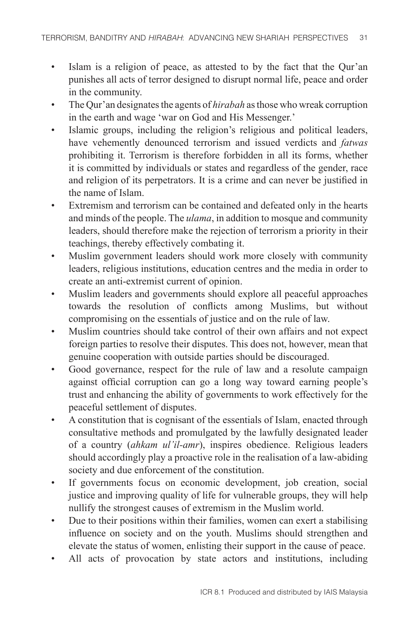- Islam is a religion of peace, as attested to by the fact that the Qur'an punishes all acts of terror designed to disrupt normal life, peace and order in the community.
- The Qur'an designates the agents of *hirabah* as those who wreak corruption in the earth and wage 'war on God and His Messenger.'
- Islamic groups, including the religion's religious and political leaders, have vehemently denounced terrorism and issued verdicts and *fatwas* prohibiting it. Terrorism is therefore forbidden in all its forms, whether it is committed by individuals or states and regardless of the gender, race and religion of its perpetrators. It is a crime and can never be justified in the name of Islam.
- Extremism and terrorism can be contained and defeated only in the hearts and minds of the people. The *ulama*, in addition to mosque and community leaders, should therefore make the rejection of terrorism a priority in their teachings, thereby effectively combating it.
- Muslim government leaders should work more closely with community leaders, religious institutions, education centres and the media in order to create an anti-extremist current of opinion.
- Muslim leaders and governments should explore all peaceful approaches towards the resolution of conflicts among Muslims, but without compromising on the essentials of justice and on the rule of law.
- Muslim countries should take control of their own affairs and not expect foreign parties to resolve their disputes. This does not, however, mean that genuine cooperation with outside parties should be discouraged.
- Good governance, respect for the rule of law and a resolute campaign against official corruption can go a long way toward earning people's trust and enhancing the ability of governments to work effectively for the peaceful settlement of disputes.
- A constitution that is cognisant of the essentials of Islam, enacted through consultative methods and promulgated by the lawfully designated leader of a country (*ahkam ul'il-amr*), inspires obedience. Religious leaders should accordingly play a proactive role in the realisation of a law-abiding society and due enforcement of the constitution.
- If governments focus on economic development, job creation, social justice and improving quality of life for vulnerable groups, they will help nullify the strongest causes of extremism in the Muslim world.
- Due to their positions within their families, women can exert a stabilising influence on society and on the youth. Muslims should strengthen and elevate the status of women, enlisting their support in the cause of peace.
- All acts of provocation by state actors and institutions, including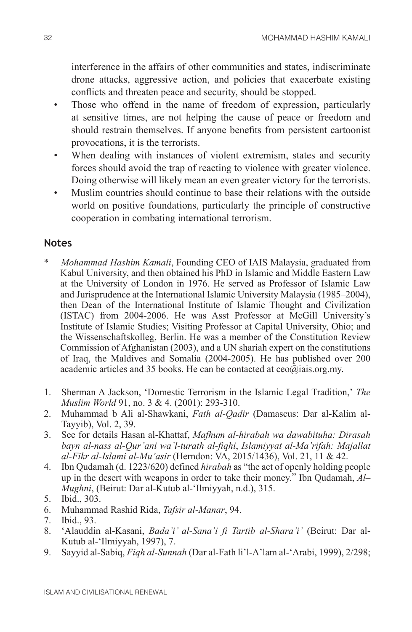interference in the affairs of other communities and states, indiscriminate drone attacks, aggressive action, and policies that exacerbate existing conflicts and threaten peace and security, should be stopped.

- Those who offend in the name of freedom of expression, particularly at sensitive times, are not helping the cause of peace or freedom and should restrain themselves. If anyone benefits from persistent cartoonist provocations, it is the terrorists.
- When dealing with instances of violent extremism, states and security forces should avoid the trap of reacting to violence with greater violence. Doing otherwise will likely mean an even greater victory for the terrorists.
- Muslim countries should continue to base their relations with the outside world on positive foundations, particularly the principle of constructive cooperation in combating international terrorism.

## **Notes**

- \* *Mohammad Hashim Kamali*, Founding CEO of IAIS Malaysia, graduated from Kabul University, and then obtained his PhD in Islamic and Middle Eastern Law at the University of London in 1976. He served as Professor of Islamic Law and Jurisprudence at the International Islamic University Malaysia (1985–2004), then Dean of the International Institute of Islamic Thought and Civilization (ISTAC) from 2004-2006. He was Asst Professor at McGill University's Institute of Islamic Studies; Visiting Professor at Capital University, Ohio; and the Wissenschaftskolleg, Berlin. He was a member of the Constitution Review Commission of Afghanistan (2003), and a UN shariah expert on the constitutions of Iraq, the Maldives and Somalia (2004-2005). He has published over 200 academic articles and 35 books. He can be contacted at  $ceo(\hat{a})$ iais.org.my.
- 1. Sherman A Jackson, 'Domestic Terrorism in the Islamic Legal Tradition,' *The Muslim World* 91, no. 3 & 4. (2001): 293-310.
- 2. Muhammad b Ali al-Shawkani, *Fath al-Qadir* (Damascus: Dar al-Kalim al-Tayyib), Vol. 2, 39.
- 3. See for details Hasan al-Khattaf, *Mafhum al-hirabah wa dawabituha: Dirasah bayn al-nass al-Qur'ani wa'l-turath al-fiqhi*, *Islamiyyat al-Ma'rifah: Majallat al-Fikr al-Islami al-Mu'asir* (Herndon: VA, 2015/1436), Vol. 21, 11 & 42.
- 4. Ibn Qudamah (d. 1223/620) defined *hirabah* as "the act of openly holding people up in the desert with weapons in order to take their money." Ibn Qudamah, *Al– Mughni*, (Beirut: Dar al-Kutub al-'Ilmiyyah, n.d.), 315.
- 5. Ibid., 303.
- 6. Muhammad Rashid Rida, *Tafsir al-Manar*, 94.
- 7. Ibid., 93.
- 8. 'Alauddin al-Kasani, *Bada'i' al-Sana'i fi Tartib al-Shara'i'* (Beirut: Dar al-Kutub al-'Ilmiyyah, 1997), 7.
- 9. Sayyid al-Sabiq, *Fiqh al-Sunnah* (Dar al-Fath li'l-A'lam al-'Arabi, 1999), 2/298;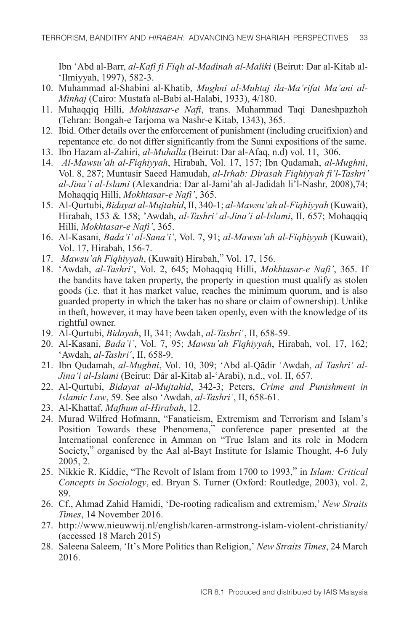Ibn 'Abd al-Barr, *al-Kafi fi Fiqh al-Madinah al-Maliki* (Beirut: Dar al-Kitab al- 'Ilmiyyah, 1997), 582-3.

- 10. Muhammad al-Shabini al-Khatib, *Mughni al-Muhtaj ila-Ma'rifat Ma'ani al-Minhaj* (Cairo: Mustafa al-Babi al-Halabi, 1933), 4/180.
- 11. Muhaqqiq Hilli, *Mokhtasar-e Nafi*, trans. Muhammad Taqi Daneshpazhoh (Tehran: Bongah-e Tarjoma wa Nashr-e Kitab, 1343), 365.
- 12. Ibid. Other details over the enforcement of punishment (including crucifixion) and repentance etc. do not differ significantly from the Sunni expositions of the same.
- 13. Ibn Hazam al-Zahiri, *al-Muhalla* (Beirut: Dar al-Afaq, n.d) vol. 11, 306.
- 14. *Al-Mawsu'ah al-Fiqhiyyah*, Hirabah, Vol. 17, 157; Ibn Qudamah, *al-Mughni*, Vol. 8, 287; Muntasir Saeed Hamudah, *al-Irhab: Dirasah Fiqhiyyah fi'l-Tashri' al-Jina'i al-Islami* (Alexandria: Dar al-Jami'ah al-Jadidah li'l-Nashr, 2008),74; Mohaqqiq Hilli, *Mokhtasar-e Nafi'*, 365.
- 15. Al-Qurtubi, *Bidayat al-Mujtahid*, II, 340-1; *al-Mawsu'ah al-Fiqhiyyah* (Kuwait), Hirabah, 153 & 158; 'Awdah, *al-Tashri' al-Jina'i al-Islami*, II, 657; Mohaqqiq Hilli, *Mokhtasar-e Nafi'*, 365.
- 16. Al-Kasani, *Bada'i' al-Sana'i'*, Vol. 7, 91; *al-Mawsu'ah al-Fiqhiyyah* (Kuwait), Vol. 17, Hirabah, 156-7.
- 17. *Mawsu'ah Fiqhiyyah*, (Kuwait) Hirabah," Vol. 17, 156.
- 18. 'Awdah, al-Tashri', Vol. 2, 645; Mohaqqiq Hilli, Mokhtasar-e Nafi', 365. If the bandits have taken property, the property in question must qualify as stolen goods (i.e. that it has market value, reaches the minimum quorum, and is also guarded property in which the taker has no share or claim of ownership). Unlike in theft, however, it may have been taken openly, even with the knowledge of its rightful owner.
- 19. Al-Qurtubi, *Bidayah*, II, 341; Awdah, *al-Tashri*<sup>c</sup>, II, 658-59.
- 20. Al-Kasani, *Bada'i'*, Vol. 7, 95; *Mawsu'ah Fiqhiyyah*, Hirabah, vol. 17, 162; 'Awdah, *al-Tashri'*, II, 658-9.
- 21. Ibn Qudamah, *al-Mughni*, Vol. 10, 309; 'Abd al-Qādir 'Awdah, *al Tashri' al-Jina'i al-Islami* (Beirut: Dār al-Kitab al-ʿArabi), n.d., vol. II, 657.
- 22. Al-Qurtubi, *Bidayat al-Mujtahid*, 342-3; Peters, *Crime and Punishment in Islamic Law*, 59. See also 'Awdah, *al-Tashri*', II, 658-61.
- 23. Al-Khattaf, *Mafhum al-Hirabah*, 12.
- 24. Murad Wilfred Hofmann, "Fanaticism, Extremism and Terrorism and Islam's Position Towards these Phenomena," conference paper presented at the International conference in Amman on "True Islam and its role in Modern Society," organised by the Aal al-Bayt Institute for Islamic Thought, 4-6 July 2005, 2.
- 25. Nikkie R. Kiddie, "The Revolt of Islam from 1700 to 1993," in *Islam: Critical Concepts in Sociology*, ed. Bryan S. Turner (Oxford: Routledge, 2003), vol. 2, 89.
- 26. Cf., Ahmad Zahid Hamidi, 'De-rooting radicalism and extremism,' *New Straits Times*, 14 November 2016.
- 27. http://www.nieuwwij.nl/english/karen-armstrong-islam-violent-christianity/ (accessed 18 March 2015)
- 28. Saleena Saleem, 'It's More Politics than Religion,' *New Straits Times*, 24 March 2016.